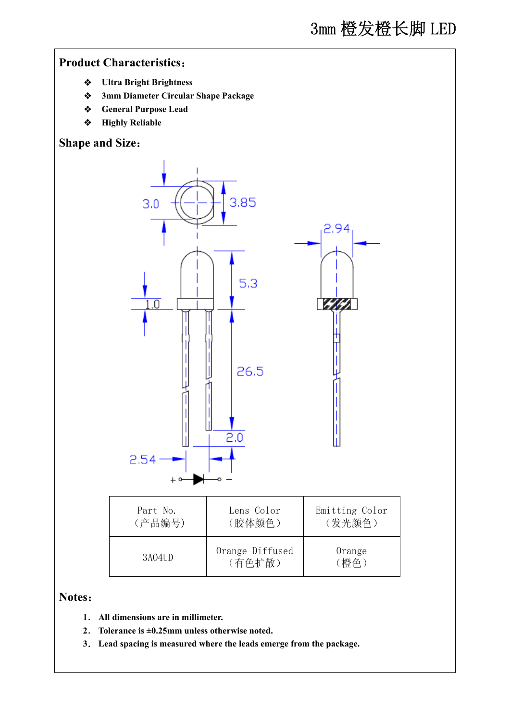## **Product Characteristics**:

- **Ultra Bright Brightness**
- **3mm Diameter Circular Shape Package**
- **General Purpose Lead**
- **Highly Reliable**

## **Shape and Size**:



# **Notes**:

- **1**. **All dimensions are in millimeter.**
- **2**. **Tolerance is ±0.25mm unless otherwise noted.**
- **3**. **Lead spacing is measured where the leads emerge from the package.**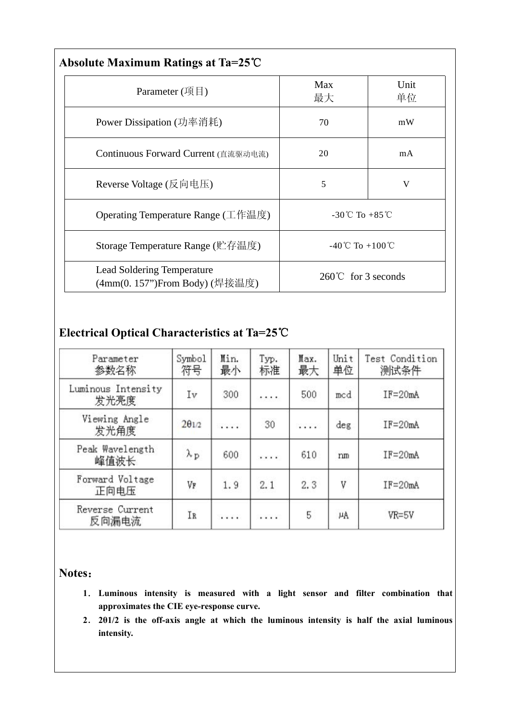| Absolute Maximum Ratings at Ta=25℃                           |                                     |            |  |  |  |  |
|--------------------------------------------------------------|-------------------------------------|------------|--|--|--|--|
| Parameter $(\mathfrak{H}\boxplus)$                           | Max<br>最大                           | Unit<br>单位 |  |  |  |  |
| Power Dissipation (功率消耗)                                     | 70                                  | mW         |  |  |  |  |
| Continuous Forward Current (直流驱动电流)                          | 20                                  | mA         |  |  |  |  |
| Reverse Voltage (反向电压)                                       | 5                                   | V          |  |  |  |  |
| Operating Temperature Range (工作温度)                           | -30°C To +85°C                      |            |  |  |  |  |
| Storage Temperature Range (贮存温度)                             | $-40^{\circ}$ C To $+100^{\circ}$ C |            |  |  |  |  |
| Lead Soldering Temperature<br>(4mm(0. 157")From Body) (焊接温度) | $260^{\circ}$ for 3 seconds         |            |  |  |  |  |

# **Electrical Optical Characteristics at Ta=25**℃

| Parameter<br>参数名称          | Symbol<br>符号      | Min.<br>最小 | Typ.<br>标准 | Max.<br>最大 | Unit<br>单位 | Test Condition<br>测试条件 |
|----------------------------|-------------------|------------|------------|------------|------------|------------------------|
| Luminous Intensity<br>发光亮度 | Ιv                | 300        |            | 500        | med        | $IF = 20mA$            |
| Viewing Angle<br>发光角度      | $2\theta$ 1/2     | .          | 30         | .          | deg        | $IF = 20mA$            |
| Peak Wavelength<br>峰值波长    | $\lambda_{\rm p}$ | 600        | .          | 610        | nm         | $IF = 20mA$            |
| Forward Voltage<br>正向电压    | VF                | 1.9        | 2.1        | 2.3        | V          | $IF = 20mA$            |
| Reverse Current<br>反向漏电流   | IR                | .          | .          | 5          | μA         | VR=5V                  |

#### **Notes**:

- **1**. **Luminous intensity is measured with a light sensor and filter combination that approximates the CIE eye-response curve.**
- **2**. **2θ1/2 is the off-axis angle at which the luminous intensity is half the axial luminous intensity.**